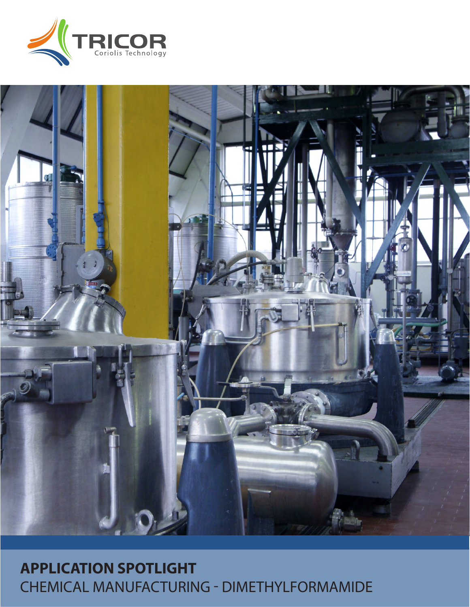



# **APPLICATION SPOTLIGHT** CHEMICAL MANUFACTURING - DIMETHYLFORMAMIDE